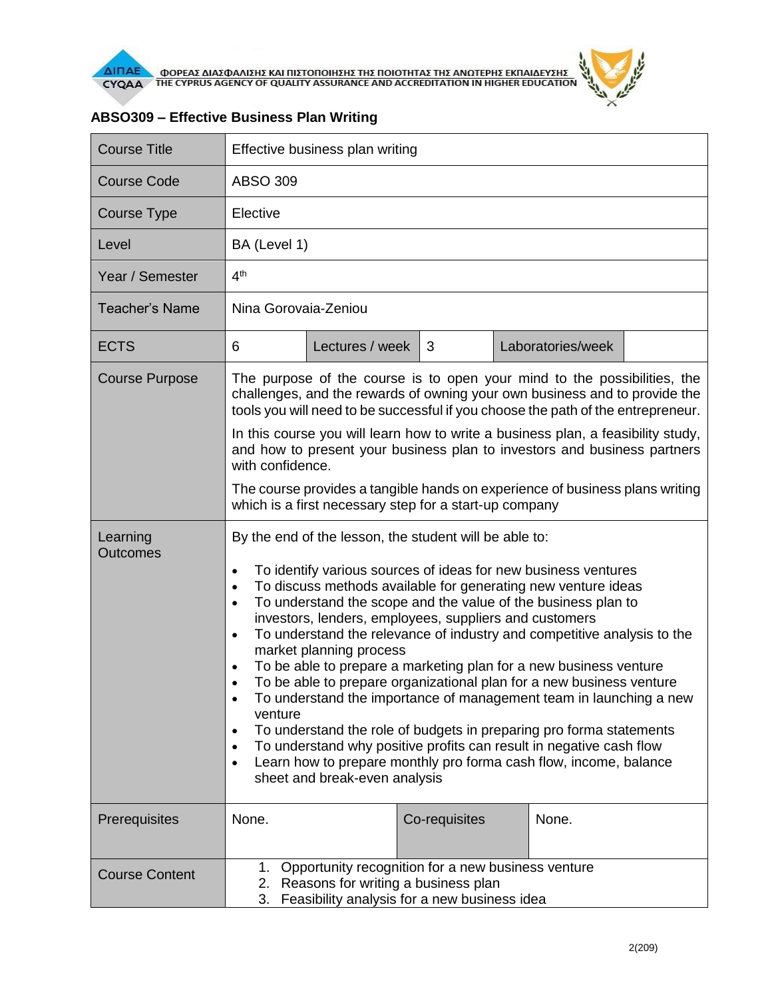

| <b>Course Title</b>         | Effective business plan writing                                                                                                                                                                                                                                                                                                                                                                                                                                                                                                                                                                                                                                                                                                                                                                                                                                                                                                                                                                                                   |                 |               |  |                   |  |  |
|-----------------------------|-----------------------------------------------------------------------------------------------------------------------------------------------------------------------------------------------------------------------------------------------------------------------------------------------------------------------------------------------------------------------------------------------------------------------------------------------------------------------------------------------------------------------------------------------------------------------------------------------------------------------------------------------------------------------------------------------------------------------------------------------------------------------------------------------------------------------------------------------------------------------------------------------------------------------------------------------------------------------------------------------------------------------------------|-----------------|---------------|--|-------------------|--|--|
| <b>Course Code</b>          | <b>ABSO 309</b>                                                                                                                                                                                                                                                                                                                                                                                                                                                                                                                                                                                                                                                                                                                                                                                                                                                                                                                                                                                                                   |                 |               |  |                   |  |  |
| Course Type                 | Elective                                                                                                                                                                                                                                                                                                                                                                                                                                                                                                                                                                                                                                                                                                                                                                                                                                                                                                                                                                                                                          |                 |               |  |                   |  |  |
| Level                       | BA (Level 1)                                                                                                                                                                                                                                                                                                                                                                                                                                                                                                                                                                                                                                                                                                                                                                                                                                                                                                                                                                                                                      |                 |               |  |                   |  |  |
| Year / Semester             | 4 <sup>th</sup>                                                                                                                                                                                                                                                                                                                                                                                                                                                                                                                                                                                                                                                                                                                                                                                                                                                                                                                                                                                                                   |                 |               |  |                   |  |  |
| <b>Teacher's Name</b>       | Nina Gorovaia-Zeniou                                                                                                                                                                                                                                                                                                                                                                                                                                                                                                                                                                                                                                                                                                                                                                                                                                                                                                                                                                                                              |                 |               |  |                   |  |  |
| <b>ECTS</b>                 | 6                                                                                                                                                                                                                                                                                                                                                                                                                                                                                                                                                                                                                                                                                                                                                                                                                                                                                                                                                                                                                                 | Lectures / week | 3             |  | Laboratories/week |  |  |
| <b>Course Purpose</b>       | The purpose of the course is to open your mind to the possibilities, the<br>challenges, and the rewards of owning your own business and to provide the<br>tools you will need to be successful if you choose the path of the entrepreneur.                                                                                                                                                                                                                                                                                                                                                                                                                                                                                                                                                                                                                                                                                                                                                                                        |                 |               |  |                   |  |  |
|                             | In this course you will learn how to write a business plan, a feasibility study,<br>and how to present your business plan to investors and business partners<br>with confidence.                                                                                                                                                                                                                                                                                                                                                                                                                                                                                                                                                                                                                                                                                                                                                                                                                                                  |                 |               |  |                   |  |  |
|                             | The course provides a tangible hands on experience of business plans writing<br>which is a first necessary step for a start-up company                                                                                                                                                                                                                                                                                                                                                                                                                                                                                                                                                                                                                                                                                                                                                                                                                                                                                            |                 |               |  |                   |  |  |
| Learning<br><b>Outcomes</b> | By the end of the lesson, the student will be able to:<br>To identify various sources of ideas for new business ventures<br>$\bullet$<br>To discuss methods available for generating new venture ideas<br>$\bullet$<br>To understand the scope and the value of the business plan to<br>$\bullet$<br>investors, lenders, employees, suppliers and customers<br>To understand the relevance of industry and competitive analysis to the<br>$\bullet$<br>market planning process<br>To be able to prepare a marketing plan for a new business venture<br>$\bullet$<br>To be able to prepare organizational plan for a new business venture<br>$\bullet$<br>To understand the importance of management team in launching a new<br>venture<br>To understand the role of budgets in preparing pro forma statements<br>$\bullet$<br>To understand why positive profits can result in negative cash flow<br>$\bullet$<br>Learn how to prepare monthly pro forma cash flow, income, balance<br>$\bullet$<br>sheet and break-even analysis |                 |               |  |                   |  |  |
| Prerequisites               | None.                                                                                                                                                                                                                                                                                                                                                                                                                                                                                                                                                                                                                                                                                                                                                                                                                                                                                                                                                                                                                             |                 | Co-requisites |  | None.             |  |  |
| <b>Course Content</b>       | 1. Opportunity recognition for a new business venture<br>2. Reasons for writing a business plan<br>Feasibility analysis for a new business idea<br>3.                                                                                                                                                                                                                                                                                                                                                                                                                                                                                                                                                                                                                                                                                                                                                                                                                                                                             |                 |               |  |                   |  |  |

## **ABSO309 – Effective Business Plan Writing**

 $\tilde{r}$